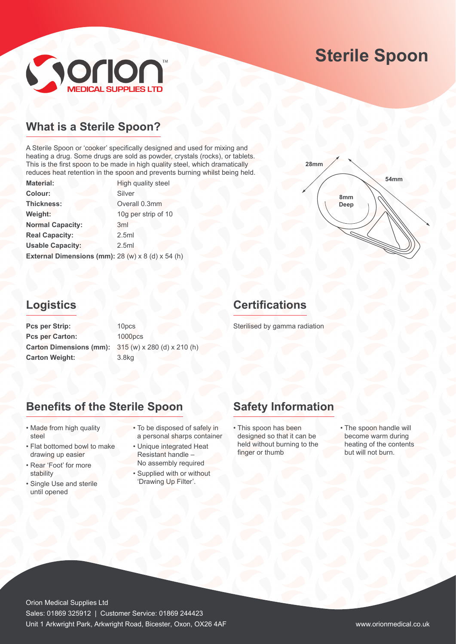# **Sterile Spoon**



## **What is a Sterile Spoon?**

A Sterile Spoon or 'cooker' specifically designed and used for mixing and heating a drug. Some drugs are sold as powder, crystals (rocks), or tablets. This is the first spoon to be made in high quality steel, which dramatically reduces heat retention in the spoon and prevents burning whilst being held.

| <b>Material:</b>                                              | High quality steel  |
|---------------------------------------------------------------|---------------------|
| Colour:                                                       | Silver              |
| Thickness:                                                    | Overall 0.3mm       |
| Weight:                                                       | 10g per strip of 10 |
| <b>Normal Capacity:</b>                                       | 3 <sub>ml</sub>     |
| <b>Real Capacity:</b>                                         | 2.5ml               |
| <b>Usable Capacity:</b>                                       | 2.5ml               |
| External Dimensions (mm): $28 (w) \times 8 (d) \times 54 (h)$ |                     |



## **Logistics**

Pcs per Strip: 10pcs Pcs per Carton: 1000pcs **Carton Dimensions (mm):** 315 (w) x 280 (d) x 210 (h) **Carton Weight:** 3.8kg

## **Certifications**

Sterilised by gamma radiation

## **Benefits of the Sterile Spoon**

- Made from high quality steel
- Flat bottomed bowl to make drawing up easier
- Rear 'Foot' for more stability
- Single Use and sterile until opened
- To be disposed of safely in a personal sharps container
- Unique integrated Heat Resistant handle – No assembly required
- Supplied with or without 'Drawing Up Filter'.

## **Safety Information**

- This spoon has been designed so that it can be held without burning to the finger or thumb
- The spoon handle will become warm during heating of the contents but will not burn.

Orion Medical Supplies Ltd Sales: 01869 325912 | Customer Service: 01869 244423 Unit 1 Arkwright Park, Arkwright Road, Bicester, Oxon, OX26 4AF www.orionmedical.co.uk